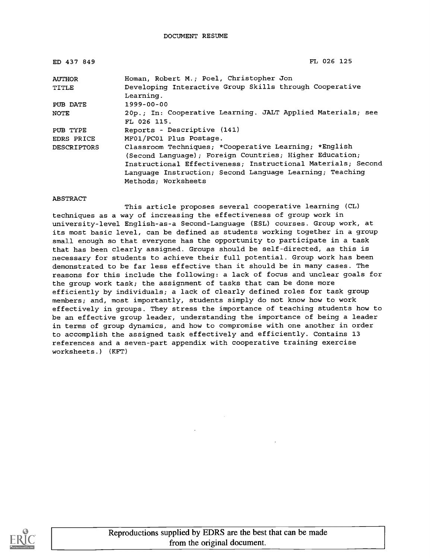| ED 437 849         | FL 026 125                                                                                                                                                                                                                                                          |
|--------------------|---------------------------------------------------------------------------------------------------------------------------------------------------------------------------------------------------------------------------------------------------------------------|
| <b>AUTHOR</b>      | Homan, Robert M.; Poel, Christopher Jon                                                                                                                                                                                                                             |
| TITLE              | Developing Interactive Group Skills through Cooperative<br>Learning.                                                                                                                                                                                                |
| PUB DATE           | 1999-00-00                                                                                                                                                                                                                                                          |
| NOTE               | 20p.; In: Cooperative Learning. JALT Applied Materials; see<br>FL 026 115.                                                                                                                                                                                          |
| PUB TYPE           | Reports - Descriptive (141)                                                                                                                                                                                                                                         |
| EDRS PRICE         | MF01/PC01 Plus Postage.                                                                                                                                                                                                                                             |
| <b>DESCRIPTORS</b> | Classroom Techniques; *Cooperative Learning; *English<br>(Second Language); Foreign Countries; Higher Education;<br>Instructional Effectiveness; Instructional Materials; Second<br>Language Instruction; Second Language Learning; Teaching<br>Methods; Worksheets |

#### ABSTRACT

This article proposes several cooperative learning (CL) techniques as a way of increasing the effectiveness of group work in university-level English-as-a Second-Language (ESL) courses. Group work, at its most basic level, can be defined as students working together in a group small enough so that everyone has the opportunity to participate in a task that has been clearly assigned. Groups should be self-directed, as this is necessary for students to achieve their full potential. Group work has been demonstrated to be far less effective than it should be in many cases. The reasons for this include the following: a lack of focus and unclear goals for the group work task; the assignment of tasks that can be done more efficiently by individuals; a lack of clearly defined roles for task group members; and, most importantly, students simply do not know how to work effectively in groups. They stress the importance of teaching students how to be an effective group leader, understanding the importance of being a leader in terms of group dynamics, and how to compromise with one another in order to accomplish the assigned task effectively and efficiently. Contains 13 references and a seven-part appendix with cooperative training exercise worksheets.) (KFT)

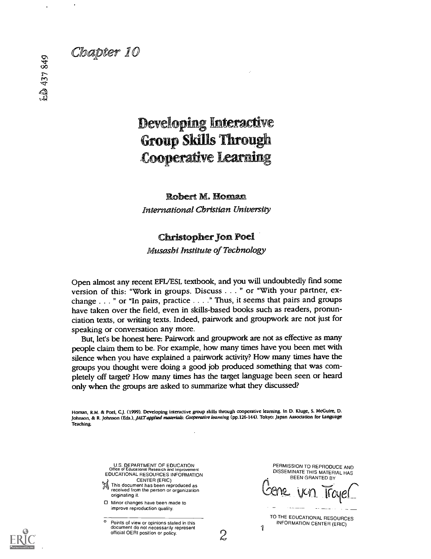# Chapter 10

# **Developing Interactive Group Skills Through Cooperative Learning**

### Robert M. Homan

International Christian University

## Christopher Jon Poel

Musashi Institute of Technology

Open almost any recent EFL/ESL textbook, and you will undoubtedly find some version of this: "Work in groups. Discuss . . . " or "With your partner, exchange . . . " or "In pairs, practice . . . ." Thus, it seems that pairs and groups have taken over the field, even in skills-based books such as readers, pronunciation texts, or writing texts. Indeed, pairwork and groupwork are not just for speaking or conversation any more.

But, let's be honest here: Pairwork and groupwork are not as effective as many people claim them to be. For example, how many times have you been met with silence when you have explained a pairwork activity? How many times have the groups you thought were doing a good job produced something that was completely off target? How many times has the target language been seen or heard only when the groups are asked to summarize what they discussed?

Homan, R.M. & Poet, C.J. (1999). Developing interactive group skills through cooperative learning. In D. Kluge, S. McGuire, D. Johnson, & R. Johnson (Eds.), JALT applied materials: Cooperative learning (pp.126-144). Tokyo: Japan Association for Language Teaching.

> U.S. DEPARTMENT OF EDUCATION Office of Educational Research and Improvement EDUCATIONAL RESOURCES INFORMATION

- CENTER (ERIC)<br>
This document has been reproduced as received from the person or organization originating it.
- Minor changes have been made to improve reproduction quality.

° Points of view or opinions stated in this document do not necessarily represent official OERI position or policy. PERMISSION TO REPRODUCE AND DISSEMINATE THIS MATERIAL HAS BEEN GRANTED BY

Lene van Troyer

TO THE EDUCATIONAL RESOURCES INFORMATION CENTER (ERIC)

11 and 12 and 12 and 12 and 12 and 12 and 12 and 12 and 12 and 12 and 12 and 12 and 12 and 12 and 12 and 12 and 12 and 12 and 12 and 12 and 12 and 12 and 12 and 12 and 12 and 12 and 12 and 12 and 12 and 12 and 12 and 12 an

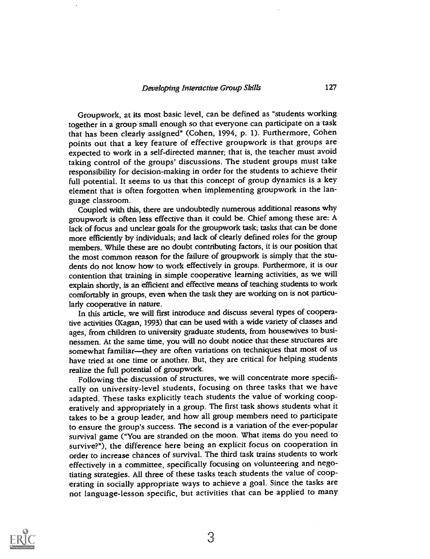Groupwork, at its most basic level, can be defined as "students working together in a group small enough so that everyone can participate on a task that has been clearly assigned" (Cohen, 1994, p. 1). Furthermore, Cohen points out that a key feature of effective groupwork is that groups are expected to work in a self-directed manner; that is, the teacher must avoid taking control of the groups' discussions. The student groups must take responsibility for decision-making in order for the students to achieve their full potential. It seems to us that this concept of group dynamics is a key element that is often forgotten when implementing groupwork in the language classroom.

Coupled with this, there are undoubtedly numerous additional reasons why groupwork is often less effective than it could be. Chief among these are: A lack of focus and unclear goals for the groupwork task; tasks that can be done more efficiently by individuals; and lack of clearly defined roles for the group members. While these are no doubt contributing factors, it is our position that the most common reason for the failure of groupwork is simply that the students do not know how to work effectively in groups. Furthermore, it is our contention that training in simple cooperative learning activities, as we will explain shortly, is an efficient and effective means of teaching students to work comfortably in groups, even when the task they are working on is not particularly cooperative in nature.

In this article, we will first introduce and discuss several types of cooperative activities (Kagan, 1993) that can be used with a wide variety of classes and ages, from children to university graduate students, from housewives to businessmen. At the same time, you will no doubt notice that these structures are somewhat familiar-they are often variations on techniques that most of us have tried at one time or another. But, they are critical for helping students realize the full potential of groupwork.

Following the discussion of structures, we will concentrate more specifically on university-level students, focusing on three tasks that we have adapted. These tasks explicitly teach students the value of working cooperatively and appropriately in a group. The first task shows students what it takes to be a group leader, and how all group members need to participate to ensure the group's success. The second is a variation of the ever-popular survival game ("You are stranded on the moon. What items do you need to survive?"), the difference here being an explicit focus on cooperation in order to increase chances of survival. The third task trains students to work effectively in a committee, specifically focusing on volunteering and negotiating strategies. All three of these tasks teach students the value of cooperating in socially appropriate ways to achieve a goal. Since the tasks are not language-lesson specific, but activities that can be applied to many

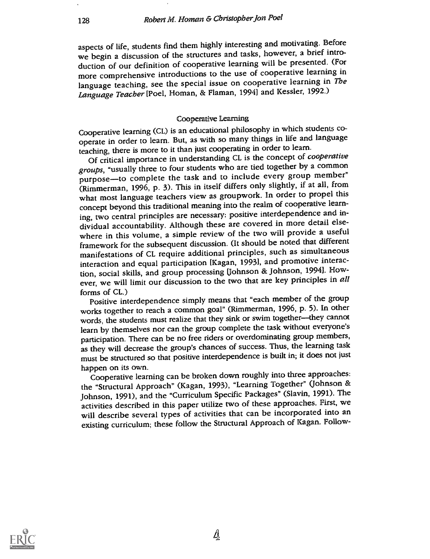aspects of life, students find them highly interesting and motivating. Before we begin a discussion of the structures and tasks, however, a brief introduction of our definition of cooperative learning will be presented. (For more comprehensive introductions to the use of cooperative learning in language teaching, see the special issue on cooperative learning in The Language Teacher [Poel, Homan, & Flaman, 1994] and Kessler, 1992.)

#### Cooperative Learning

Cooperative learning (CL) is an educational philosophy in which students cooperate in order to learn. But, as with so many things in life and language teaching, there is more to it than just cooperating in order to learn.

Of critical importance in understanding CL is the concept of cooperative groups, "usually three to four students who are tied together by a common purpose-to complete the task and to include every group member" (Rimmerman, 1996, p. 3). This in itself differs only slightly, if at all, from what most language teachers view as groupwork. In order to propel this concept beyond this traditional meaning into the realm of cooperative learning, two central principles are necessary: positive interdependence and individual accountability. Although these are covered in more detail elsewhere in this volume, a simple review of the two will provide a useful framework for the subsequent discussion. (It should be noted that different manifestations of CL require additional principles, such as simultaneous interaction and equal participation [Kagan, 1993], and promotive interaction, social skills, and group processing (Johnson & Johnson, 1994). However, we will limit our discussion to the two that are key principles in all forms of CL.)

Positive interdependence simply means that "each member of the group works together to reach a common goal" (Rimmerman, 1996, p. 5). In other words, the students must realize that they sink or swim together-they cannot learn by themselves nor can the group complete the task without everyone's participation. There can be no free riders or overdominating group members, as they will decrease the group's chances of success. Thus, the learning task must be structured so that positive interdependence is built in; it does not just happen on its own.

Cooperative learning can be broken down roughly into three approaches: the "Structural Approach" (Kagan, 1993), "Learning Together" (Johnson & Johnson, 1991), and the "Curriculum Specific Packages" (Slavin, 1991). The activities described in this paper utilize two of these approaches. First, we will describe several types of activities that can be incorporated into an existing curriculum; these follow the Structural Approach of Kagan. Follow-

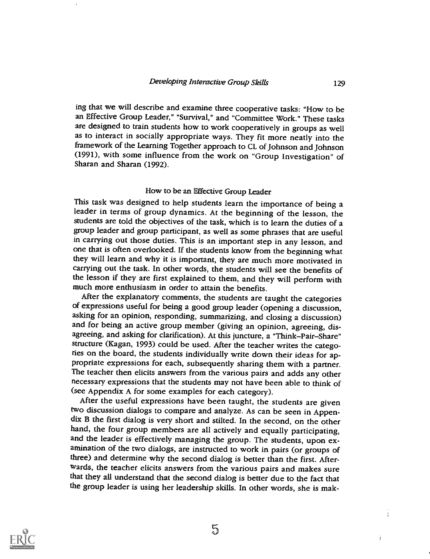ing that we will describe and examine three cooperative tasks: "How to be an Effective Group Leader," "Survival," and "Committee Work." These tasks are designed to train students how to work cooperatively in groups as well as to interact in socially appropriate ways. They fit more neatly into the framework of the Learning Together approach to CL of Johnson and Johnson (1991), with some influence from the work on "Group Investigation" of Sharan and Sharan (1992).

#### How to be an Effective Group Leader

This task was designed to help students learn the importance of being a leader in terms of group dynamics. At the beginning of the lesson, the students are told the objectives of the task, which is to learn the duties of a group leader and group participant, as well as some phrases that are useful in carrying out those duties. This is an important step in any lesson, and one that is often overlooked. If the students know from the beginning what they will learn and why it is important, they are much more motivated in carrying out the task. In other words, the students will see the benefits of the lesson if they are first explained to them, and they will perform with much more enthusiasm in order to attain the benefits.

After the explanatory comments, the students are taught the categories of expressions useful for being a good group leader (opening a discussion, and for being an active group member (giving an opinion, agreeing, disagreeing, and asking for clarification). At this juncture, a "Think-Pair-Share" structure (Kagan, 1993) could be used. After the teacher writes the categories on the board, the students individually write down their ideas for appropriate expressions for each, subsequently sharing them with a partner. The teacher then elicits answers from the various pairs and adds any other necessary expressions that the students may not have been able to think of (see Appendix A for some examples for each category).

After the useful expressions have been taught, the students are given<br>two discussion dialogs to compare and analyze. As can be seen in Appendix B the first dialog is very short and stilted. In the second, on the other hand, the four group members are all actively and equally participating, and the leader is effectively managing the group. The students, upon examination of the two dialogs, are instructed to work in pairs (or groups of three) and determine why the second dialog is better than the first. Afterwards, the teacher elicits answers from the various pairs and makes sure that they all understand that the second dialog is better due to the fact that the group leader is using her leadership skills. In other words, she is mak-



 $\frac{1}{4}$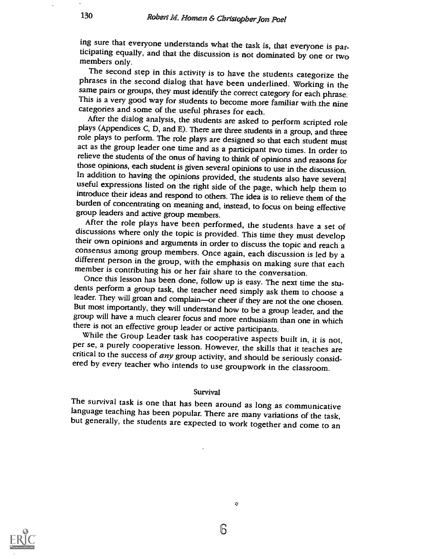ing sure that everyone understands what the task is, that everyone is participating equally, and that the discussion is not dominated by one or two<br>members only.<br>The second step in this activity is to have the students categorize the

phrases in the second dialog that have been underlined. Working in the same pairs or groups, they must identify the correct category for each phrase. This is a very good way for students to become more familiar with the nine categories and some of the useful phrases for each.<br>After the dialog analysis, the students are asked to perform scripted role

plays (Appendices C, D, and E). There are three students in a group, and three role plays to perform. The role plays are designed so that each student must act as the group leader one time and as a participant two times. In order to relieve the students of the onus of having to think of opinions and reasons for those opinions, each student is given several opinions to use in useful expressions listed on the right side of the page, which help them to introduce their ideas and respond to others. The idea is to relieve them of the burden of concentrating on meaning and, instead, to focus on being

discussions where only the topic is provided. This time they must develop<br>their own opinions and arguments in order to discuss the topic and reach a<br>consensus among group members. Once again, each discussion is led by a<br>di

dents perform a group task, the teacher need simply ask them to choose a leader. They will groan and complain----or cheer if they are not the one chosen. But most importantly, they will understand how to be a group leader,

group will have a much clearer focus and more enthusiasm than one in which<br>there is not an effective group leader or active participants.<br>While the Group Leader task has cooperative aspects built in, it is not,<br>per se, a p

Survival<br>The survival task is one that has been around as long as communicative language teaching has been popular. There are many variations of the task, but generally, the students are expected to work together and come to an



b

Q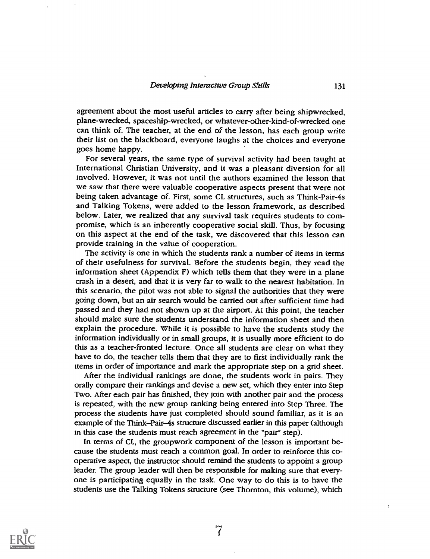agreement about the most useful articles to carry after being shipwrecked, plane-wrecked, spaceship-wrecked, or whatever-other-kind-of-wrecked one can think of. The teacher, at the end of the lesson, has each group write their list on the blackboard, everyone laughs at the choices and everyone goes home happy.

For several years, the same type of survival activity had been taught at International Christian University, and it was a pleasant diversion for all involved. However, it was not until the authors examined the lesson that we saw that there were valuable cooperative aspects present that were not being taken advantage of. First, some CL structures, such as Think-Pair-4s and Talking Tokens, were added to the lesson framework, as described below. Later, we realized that any survival task requires students to compromise, which is an inherently cooperative social skill. Thus, by focusing on this aspect at the end of the task, we discovered that this lesson can provide training in the value of cooperation.

The activity is one in which the students rank a number of items in terms of their usefulness for survival. Before the students begin, they read the information sheet (Appendix  $F$ ) which tells them that they were in a plane crash in a desert, and that it is very far to walk to the nearest habitation. In this scenario, the pilot was not able to signal the authorities that they were going down, but an air search would be carried out after sufficient time had passed and they had not shown up at the airport. At this point, the teacher should make sure the students understand the information sheet and then explain the procedure. While it is possible to have the students study the information individually or in small groups, it is usually more efficient to do this as a teacher-fronted lecture. Once all students are clear on what they have to do, the teacher tells them that they are to first individually rank the items in order of importance and mark the appropriate step on a grid sheet.

After the individual rankings are done, the students work in pairs. They orally compare their rankings and devise a new set, which they enter into Step Two. After each pair has finished, they join with another pair and the process is repeated, with the new group ranking being entered into Step Three. The process the students have just completed should sound familiar, as it is an example of the Think-Pair-4s structure discussed earlier in this paper (although in this case the students must reach agreement in the "pair" step).

In terms of CL, the groupwork component of the lesson is important because the students must reach a common goal. In order to reinforce this cooperative aspect, the instructor should remind the students to appoint a group leader. The group leader will then be responsible for making sure that everyone is participating equally in the task. One way to do this is to have the students use the Talking Tokens structure (see Thornton, this volume), which



f,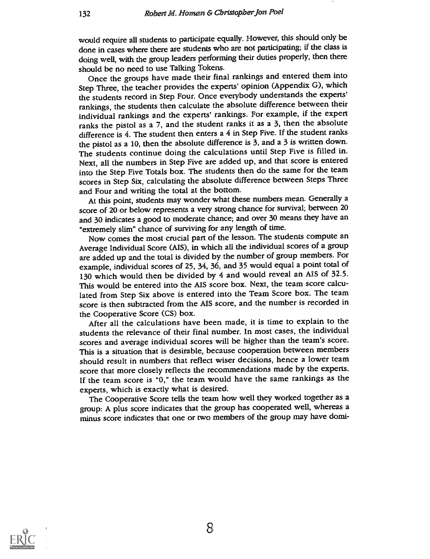would require all students to participate equally. However, this should only be done in cases where there are students who are not participating; if the class is doing well, with the group leaders performing their duties properly, then there should be no need to use Talking Tokens.

Once the groups have made their final rankings and entered them into Step Three, the teacher provides the experts' opinion (Appendix G), which the students record in Step Four. Once everybody understands the experts' rankings, the students then calculate the absolute difference between their individual rankings and the experts' rankings. For example, if the expert ranks the pistol as a 7, and the student ranks it as a 3, then the absolute difference is 4. The student then enters a 4 in Step Five. If the student ranks the pistol as a 10, then the absolute difference is 3, and a 3 is written down. The students continue doing the calculations until Step Five is filled in. Next, all the numbers in Step Five are added up, and that score is entered into the Step Five Totals box. The students then do the same for the team scores in Step Six, calculating the absolute difference between Steps Three and Four and writing the total at the bottom.

At this point, students may wonder what these numbers mean. Generally a score of 20 or below represents a very strong chance for survival; between 20 and 30 indicates a good to moderate chance; and over 30 means they have an "extremely slim" chance of surviving for any length of time.

Now comes the most crucial part of the lesson. The students compute an Average Individual Score (AIS), in which all the individual scores of a group are added up and the total is divided by the number of group members. For example, individual scores of 25, 34, 36, and 35 would equal a point total of 130 which would then be divided by 4 and would reveal an AIS of 32.5. This would be entered into the AIS score box. Next, the team score calculated from Step Six above is entered into the Team Score box. The team score is then subtracted from the AIS score, and the number is recorded in the Cooperative Score (CS) box.

After all the calculations have been made, it is time to explain to the students the relevance of their final number. In most cases, the individual scores and average individual scores will be higher than the team's score. This is a situation that is desirable, because cooperation between members should result in numbers that reflect wiser decisions, hence a lower team score that more closely reflects the recommendations made by the experts. If the team score is "0," the team would have the same rankings as the experts, which is exactly what is desired.

The Cooperative Score tells the team how well they worked together as a group: A plus score indicates that the group has cooperated well, whereas a minus score indicates that one or two members of the group may have domi-



8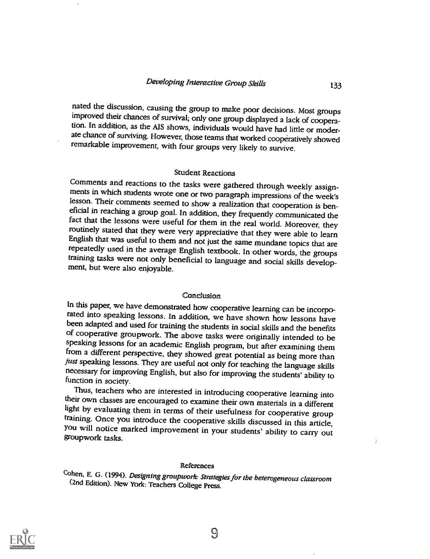nated the discussion, causing the group to make poor decisions. Most groups improved their chances of survival; only one group displayed a lack of cooperation. In addition, as the AIS shows, individuals would have had little or moderate chance of surviving. However, those teams that worked cooperatively showed remarkable improvement, with four groups very likely to survive.

Student Reactions<br>Comments and reactions to the tasks were gathered through weekly assignments in which students wrote one or two paragraph impressions of the week's lesson. Their comments seemed to show a realization that cooperation is beneficial in reaching a group goal. In addition, they frequently communicated the fact that the lessons were useful for them in the real world. Moreover, they routinely stated that they were very appreciative that they were repeatedly used in the average English textbook. In other words, the groups training tasks were not only beneficial to language and social skills development, but were also eniovable.

Conclusion<br>In this paper, we have demonstrated how cooperative learning can be incorporated into speaking lessons. In addition, we have shown how lessons have<br>been adapted and used for training the students in social skills and the benefits<br>of cooperative groupwork. The above tasks were originally intended from a different perspective, they showed great potential as being more than just speaking lessons. They are useful not only for teaching the language skills necessary for improving English, but also for improving the students' ability to function in society.<br>Thus, teachers who are interested in introducing cooperative learning into

their own classes are encouraged to examine their own materials in a different<br>light by evaluating them in terms of their usefulness for cooperative group<br>training. Once you introduce the cooperative skills discussed in th

#### References

Cohen, E. G. (1994). Designing groupwork: Strategies for the heterogeneous classroom (2nd Edition). New York: Teachers College Press.

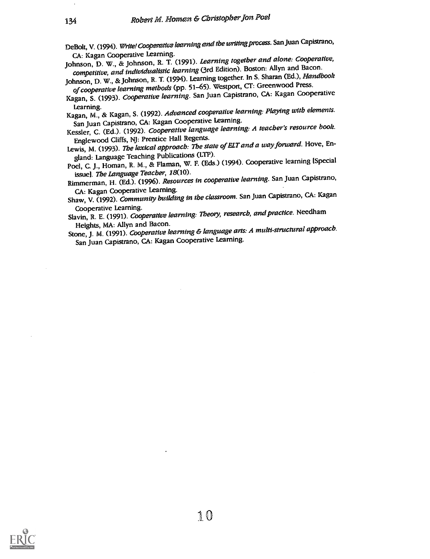DeBolt, V. (1994). Write! Cooperative learning and the writing process. San Juan Capistrano,<br>CA: Kagan Cooperative Learning.

CA: Kagan Cooperative Learning.<br>Johnson, D. W., & Johnson, R. T. (1991). Learning together and alone: Cooperative, competitive, and individualistic learning (3rd Edition). Boston: Allyn and Bacon.

Johnson, D. W., & Johnson, R. T. (1994). Learning together. In S. Sharan (Ed.), Handbook of cooperative learning methods (pp. 51-65). Westport, CT: Greenwood Press.

Kagan, S. (1993). Cooperative learning. San Juan Capistrano, CA: Kagan Cooperative

Learning. Kagan, M., & Kagan, S. (1992). Advanced cooperative learning: Playing with elements. San Juan Capistrano, CA: Kagan Cooperative Learning.

Kessler, C. (Ed.). (1992). Cooperative language learning: A teacher's resource book. Englewood Cliffs, NJ: Prentice Hall Regents.

Lewis, M. (1993). The lexical approach: The state of ELT and a way forward. Hove, England: Language Teaching Publications (LTP).

Poel, C. J., Homan, R. M., & Flaman, W. F. (Eds.) (1994). Cooperative learning [Special issue]. The Language Teacher, 18(10).

Rimmerman, H. (Ed.). (1996). *Resources in cooperative learning*. San Juan Capistrano,<br>CA: Kagan Cooperative Learning.

CA: Kagan Cooperative Learning. Shaw, V. (1992). Community building in the classroom. San Juan Capistrano, CA: Kagan

Cooperative Learning.<br>Slavin, R. E. (1991). *Cooperative learning: Theory, research, and practice*. Needham Heights, MA: Allyn and Bacon.

Stone, J. M. (1991). Cooperative learning & language arts: A multi-structural approach. San Juan Capistrano, CA: Kagan Cooperative Learning.

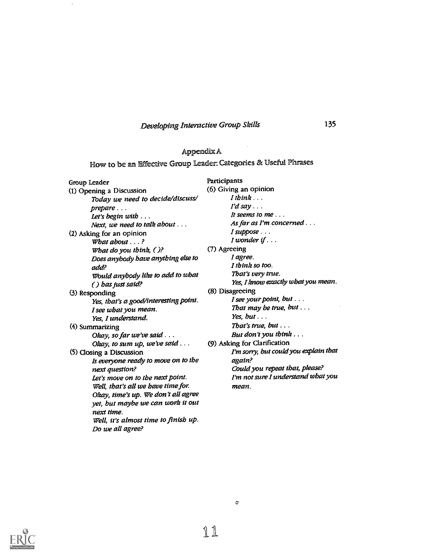## Developing Interactive Group Skills

 $\epsilon$ 

## Appendix A

How to be an Effective Group Leader: Categories 8E Useful Phrases

| Group Leader<br>(6) Giving an opinion<br>(1) Opening a Discussion<br>$I$ think $\ldots$<br>Today we need to decide/discuss/<br>$I'd$ say $\ldots$<br>prepare<br>It seems to me<br>Let's begin $with \ldots$ |
|-------------------------------------------------------------------------------------------------------------------------------------------------------------------------------------------------------------|
|                                                                                                                                                                                                             |
|                                                                                                                                                                                                             |
|                                                                                                                                                                                                             |
|                                                                                                                                                                                                             |
| As far as I'm concerned $\ldots$<br>Next, we need to talk about $\dots$                                                                                                                                     |
| $I$ suppose $\ldots$<br>(2) Asking for an opinion                                                                                                                                                           |
| I wonder if $\ldots$<br>What about $\ldots$ ?                                                                                                                                                               |
| (7) Agreeing<br>What do you think, $()$ ?                                                                                                                                                                   |
| I agree.<br>Does anybody have anything else to                                                                                                                                                              |
| I think so too.<br>add?                                                                                                                                                                                     |
| That's very true.<br>Would anybody like to add to what                                                                                                                                                      |
| Yes, I know exactly what you mean.<br>() has just said?                                                                                                                                                     |
| (8) Disagreeing<br>(3) Responding                                                                                                                                                                           |
| I see your point, but $\dots$<br>Yes, that's a good/interesting point.                                                                                                                                      |
| That may be true, but $\dots$<br>I see what you mean.                                                                                                                                                       |
| Yes, but $\ldots$<br>Yes, I understand.                                                                                                                                                                     |
| That's true, but $\ldots$<br>(4) Summarizing                                                                                                                                                                |
| But don't you think $\dots$<br>Okay, so far we've said                                                                                                                                                      |
| (9) Asking for Clarification<br>Okay, to sum up, we've said $\ldots$                                                                                                                                        |
| I'm sorry, but could you explain that<br>(5) Closing a Discussion                                                                                                                                           |
| Is everyone ready to move on to the<br>again?                                                                                                                                                               |
| Could you repeat that, please?<br>next question?                                                                                                                                                            |
| I'm not sure I understand what you<br>Let's move on to the next point.                                                                                                                                      |
| Well, that's all we have time for.<br>mean.                                                                                                                                                                 |
| Okay, time's up. We don't all agree                                                                                                                                                                         |
| yet, but maybe we can work it out                                                                                                                                                                           |
| next time.                                                                                                                                                                                                  |
| Well, it's almost time to finish up.                                                                                                                                                                        |
| Do we all agree?                                                                                                                                                                                            |

o-

135

 $\bar{z}$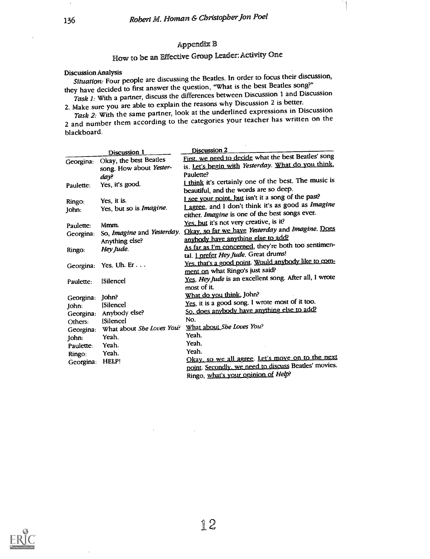## Appendix 13

# How to be an Effective Group Leader: Activity One

Discussion Analysis<br>Situation: Four people are discussing the Beatles. In order to focus their discussion, they have decided to first answer the question, "What is the best Beatles song?"

Task 1: With a partner, discuss the differences between Discussion 1 and Discussion 2. Make sure you are able to explain the reasons why Discussion 2 is better.

Task 2: With the same partner, look at the underlined expressions in Discussion 2 and number them according to the categories your teacher has written on the blackboard.

|           | Discussion 1               | Discussion <sub>2</sub>                                |
|-----------|----------------------------|--------------------------------------------------------|
| Georgina: | Okay, the best Beatles     | First, we need to decide what the best Beatles' song   |
|           | song. How about Yester-    | is. Let's begin with Yesterday. What do you think,     |
|           | day?                       | Paulette?                                              |
| Paulette: | Yes, it's good.            | I think it's certainly one of the best. The music is   |
|           |                            | beautiful, and the words are so deep.                  |
| Ringo:    | Yes, it is.                | I see your point, but isn't it a song of the past?     |
| John:     | Yes, but so is Imagine.    | Lagree, and I don't think it's as good as Imagine      |
|           |                            | either. Imagine is one of the best songs ever.         |
| Paulette: | Mmm.                       | Yes, but it's not very creative, is it?                |
| Georgina: | So, Imagine and Yesterday. | Okay, so far we have Yesterday and Imagine. Does       |
|           | Anything else?             | anybody have anything else to add?                     |
| Ringo:    | Hey Jude.                  | As far as I'm concerned, they're both too sentimen-    |
|           |                            | tal. <i>Lprefer Hey Jude</i> . Great drums!            |
|           | Georgina: Yes. Uh. Er      | Yes, that's a good point. Would anybody like to com-   |
|           |                            | ment on what Ringo's just said?                        |
| Paulette: | [Silence]                  | Yes, Hey Jude is an excellent song. After all, I wrote |
|           |                            | most of it.                                            |
| Georgina: | John?                      | What do you think, John?                               |
| John:     | <b>Silencel</b>            | Yes, it is a good song. I wrote most of it too.        |
|           | Georgina: Anybody else?    | So, does anybody have anything else to add?            |
| Others:   | <b>Silencel</b>            | No.                                                    |
| Georgina: | What about She Loves You?  | What about She Loves You?                              |
| John:     | Yeah.                      | Yeah.                                                  |
| Paulette: | Yeah.                      | Yeah.                                                  |
| Ringo:    | Yeah.                      | Yeah.                                                  |
| Georgina: | HELP!                      | Okay, so we all agree. Let's move on to the next       |
|           |                            | point. Secondly, we need to discuss Beatles' movies.   |
|           |                            | Ringo, what's your opinion of Help?                    |

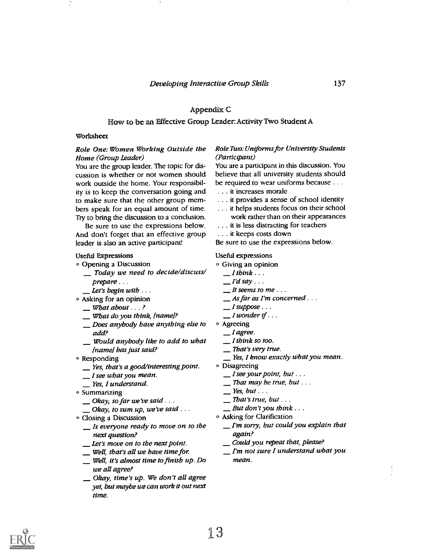### Appendix C

### How to be an Effective Group Leader: Activity Two Student A

#### Worksheet

#### Role One: Women Working Outside the Home (Group Leader)

You are the group leader. The topic for discussion is whether or not women should work outside the home. Your responsibility is to keep the conversation going and to make sure that the other group members speak for an equal amount of time. Try to bring the discussion to a conclusion.

Be sure to use the expressions below. And don't forget that an effective group leader is also an active participant!

#### Useful Expressions

- O Opening a Discussion
- Today we need to decide/discuss/ prepare . . .<br>
<u>Let's</u> begin with . . .<br>
e Asking for an opinion
	-
- 
- $\equiv$  What about  $\ldots$  ?
- What do you think, (name]?
- Does anybody have anything else to add?
- Would anybody like to add to what (name] has just said?
- 
- $\circ$  Responding<br>  $\angle$  Yes, that's a good/interesting point.<br>  $\angle$  I see what you mean.
	-
	- Yes, I understand.
- o Summarizing
	- $\Box$  Okay, so far we've said ...
	- Okay, to sum up, we've said  $\ldots$
- Closing a Discussion
	- $\equiv$  Is everyone ready to move on to the next question?
	- Let's move on to the next point.
	-
	- Well, that's all we have time for. \_ Well, it's almost time to finish up. Do we all agree?
	- Okay, time's up. We don't all agree yet, but maybe we can work it out next time.

#### Role Two: Uniforms for University Students (Participant)

You are a participant in this discussion. You believe that all university students should be required to wear uniforms because . . .

- . . . it increases morale
- . . . it provides a sense of school identity
- . . . it helps students focus on their school work rather than on their appearances
- . . . it is less distracting for teachers
- . . . it keeps costs down
- Be sure to use the expressions below.

#### Useful expressions

- o Giving an opinion
	- $I$ think  $\ldots$
	- $I'd$  say  $\ldots$
	- $It seems to me...$
	- $\Delta$  As far as I'm concerned ...
	- $\Box$  I suppose  $\ldots$
	- $\blacksquare$  I wonder if  $\ldots$
- o Agreeing
	- $\equiv$  *I* agree.
	- $I$  think so too.
	- That's very true.
	- $\mathbf{y}$  Yes, I know exactly what you mean.
- o Disagreeing
	- $\Box$  I see your point, but  $\ldots$
	- $\equiv$  That may be true, but  $\dots$
	- $Yes, but \ldots$
	- $\Box$  That's true, but ...
	- $\Box$  But don't you think  $\ldots$
- o Asking for Clarification
	- $I'm$  sorry, but could you explain that again?
	- Could you repeat that, please?
	- I'm not sure I understand what you mean.

 $\mathbf{I}$ 

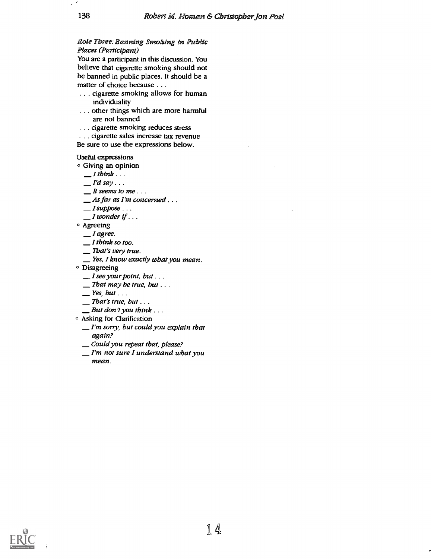### Role Three: Banning Smoking in Public Places (Participant)

You are a participant in this discussion. You believe that cigarette smoking should not be banned in public places. It should be a matter of choice because . . .

- . . . cigarette smoking allows for human individuality
- ... other things which are more harmful are not banned
- . . . cigarette smoking reduces stress
- . . . cigarette sales increase tax revenue
- Be sure to use the expressions below.

#### Useful expressions

Giving an opinion

- $I$  think  $\ldots$
- $I'd$  say ...
- $\mathcal{I}$  is seems to me...
- As far as I'm concerned . . .
- $\Box$  I suppose  $\ldots$
- $\Box$  I wonder if  $\Box$ .
- o Agreeing
	- $I$  agree.
	- $\mathcal{I}$  think so too.
	- That's very true.
	- Yes, I know exactly what you mean.
- o Disagreeing
	- $\Box$  I see your point, but . . .
	- $\equiv$  That may be true, but  $\dots$
	- $P$  Yes, but ...
	- $\equiv$  That's true, but ...
	- $\Box$  But don't you think  $\ldots$
- Asking for Clarification
	- $I'm$  sorry, but could you explain that again?
	- Could you repeat that, please?
	- $I'm$  not sure I understand what you mean.

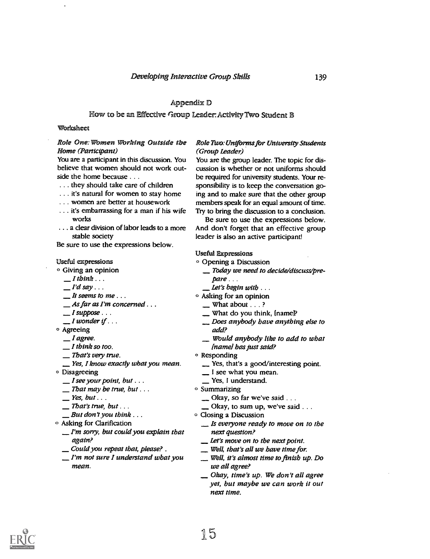#### Appendix ID

#### How to be an Effective Group Leader: Activity Two Student B

#### Worksheet

#### Role One: Women Working Outside the Home (Participant)

You are a participant in this discussion. You believe that women should not work outside the home because . . .

- . . . they should take care of children
- . . . it's natural for women to stay home
- . . . women are better at housework
- . . . it's embarrassing for a man if his wife works
- . . . a clear division of labor leads to a more stable society

Be sure to use the expressions below.

#### Useful expressions

#### $\circ$  Giving an opinion

- $I$  think  $\ldots$
- $I'd$  say  $\ldots$
- $\mathcal{I}$  is seems to me...
- \_\_ As far as I'm concerned . . .<br>\_\_ I suppose . . .<br>\_\_ I wonder if . . .
- 
- 
- © Agreeing
- $\Box$  I agree.
- $I$  think so too.
- That's very true.
- Yes, I know exactly what you mean.
- o Disagreeing
	- $\Box$  I see your point, but  $\ldots$
	- $\Gamma$  That may be true, but  $\ldots$
	- $Yes, but ...$
	- $\Gamma$ That's true, but ...
	- $\Box$  But don't you think  $\ldots$
- Asking for Clarification
	- $\mathcal{I}'$ m sorry, but could you explain that again?
	- Could you repeat that, please? .
	- $\mathcal{I}'$ m not sure I understand what you mean.

#### Role Two: Uniforms for University Students (Group Leader)

You are the group leader. The topic for discussion is whether or not uniforms should be required for university students. Your responsibility is to keep the conversation going and to make sure that the other group members speak for an equal amount of time. Try to bring the discussion to a conclusion.

Be sure to use the expressions below. And don't forget that an effective group leader is also an active participant!

#### Useful Expressions

- O Opening a Discussion
	- Today we need to decide/discuss/prepare . . .
	- Let's begin with  $\dots$
- <sup>o</sup> Asking for an opinion
	- $\equiv$  What about  $\ldots$  ?
	- \_ What do you think, [name]?
	- Does anybody have anything else to add?
	- Would anybody like to add to what [name] has just said?
- <sup>o</sup> Responding
	- Yes, that's a good/interesting point.
	- I see what you mean.
	- Yes, I understand.
- o Summarizing
	- Okay, so far we've said . . .
	- $\Box$  Okay, to sum up, we've said  $\ldots$
- O Closing a Discussion
	- $\mathcal{L}$  is everyone ready to move on to the next question?
	- Let's move on to the next point.
	- Well, that's all we have time for.
	- Well, it's almost time to finish up. Do we all agree?
	- Okay, time's up. We don't all agree yet, but maybe we can work it out next time.

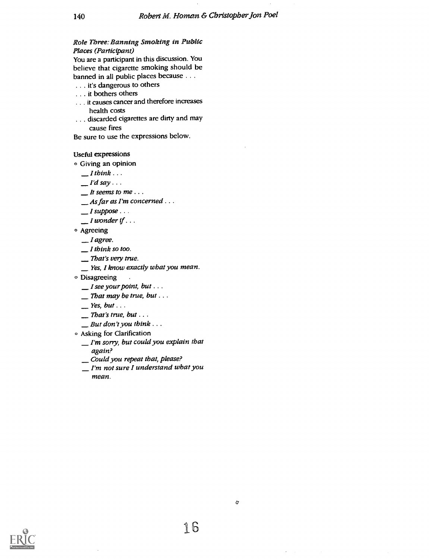#### Role Three: Banning Smoking in Public Places (Participant)

You are a participant in this discussion. You believe that cigarette smoking should be banned in all public places because . . .

- . . it's dangerous to others
- . . . it bothers others
- . . . it causes cancer and therefore increases health costs
- . . . discarded cigarettes are dirty and may cause fires

Be sure to use the expressions below.

#### Useful expressions

o Giving an opinion

- $I$ think  $\ldots$
- $I'd$  say  $\ldots$
- $It seems to me...$
- \_As far as I'm concerned . . .

 $I$  suppose  $\ldots$ 

- $\Box$  I wonder if  $\ldots$
- o Agreeing
	- $I$  agree.
	- $I$  think so too.
	- That's very true.
	- Yes, I know exactly what you mean.
- $\circ$  Disagreeing
	- $\Box$  I see your point, but  $\ldots$
	- $\equiv$  That may be true, but ...
	- $\equiv$  Yes, but . . .
	- $\sum$  That's true, but ...
	- $\Box$  But don't you think  $\ldots$
- o Asking for Clarification
	- $I'm$  sorry, but could you explain that again?
	- \_Could you repeat that, please?
	- I'm not sure I understand what you mean.



16

a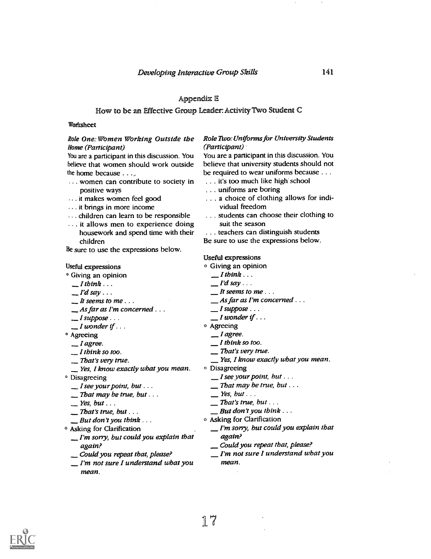#### Appendix E

#### How to be an Effective Group Leader: Activity Two Student C

#### Worksheet

#### Role One: Women Working Outside the Home (Participant)

You are a participant in this discussion. You believe that women should work outside the home because  $\ldots$ 

- . women can contribute to society in positive ways
- .. it makes women feel good
- . it brings in more income
- ... children can learn to be responsible
- ... it allows men to experience doing housework and spend time with their children

Be sure to use the expressions below.

#### Useful expressions

- ° Giving an opinion
	-
	-
	-
	- $I$  think  $\ldots$ <br>  $I'$ d say  $\ldots$ <br>  $I$  t seems to me  $\ldots$ <br>  $As$  far as I'm concerned  $\ldots$
	- $\Box$  I suppose  $\ldots$
	- $\_$  I wonder if  $\ldots$
- <sup>o</sup> Agreeing
	-
	-
	-
	- I agree. \_I think so too. \_ That's very true. \_ Yes, I know exactly what you mean.
- <sup>o</sup> Disagreeing
	- $\Box$  I see your point, but  $\ldots$
	- $\equiv$  That may be true, but . . .
	-
	- $\equiv$  That's true, but . . .
- $\Box$  But don't you think  $\ldots$
- <sup>o</sup> Asking for Clarification
	- $I'm$  sorry, but could you explain that again?
	- Could you repeat that, please?
	- $I'm$  not sure I understand what you mean.

#### Role Two: Uniforms for University Students (Participant)

You are a participant in this discussion. You believe that university students should not be required to wear uniforms because . . .

- . . . it's too much like high school
- . . . uniforms are boring
- . . . a choice of clothing allows for individual freedom
- . . . students can choose their clothing to suit the season
- . . . teachers can distinguish students
- Be sure to use the expressions below.

#### Useful expressions

- O Giving an opinion
- $I$  think  $\ldots$ 
	- $I'd$  say ...
	- $\mathcal{I}$  it seems to me...
	- $-$  As far as I'm concerned  $\ldots$
	- $I$  suppose  $\ldots$
	- $I$  wonder if  $\ldots$
- <sup>o</sup> Agreeing
	- $I$  agree.
	- $I$  think so too.
- That's very true.
- $\mathcal{L}$  Yes, I know exactly what you mean.
- o Disagreeing
	- $\Box$  I see your point, but  $\ldots$
	- $\Box$  That may be true, but  $\ldots$
	- $\equiv$  Yes, but  $\ldots$
	- $\sum$  That's true, but ...
	- $\Box$  But don't you think  $\ldots$
- o Asking for Clarification
	- $I'm$  sorry, but could you explain that again?
	- Could you repeat that, please?
	- $I'm$  not sure I understand what you mean.



141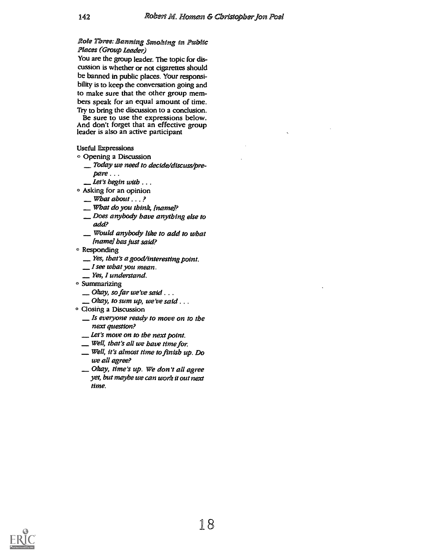### Role Three: Banning Smoking in Public Places (Group Leader)

You are the group leader. The topic for discussion is whether or not cigarettes should be banned in public places. Your responsibility is to keep the conversation going and to make sure that the other group members speak for an equal amount of time.

Try to bring the discussion to a conclusion.<br>Be sure to use the expressions below. And don't forget that an effective group leader is also an active participant

Useful Expressions

- Opening a Discussion
	- Today we need to decide/discuss/prepare . . .
	- Let's begin with  $\ldots$
- o Asking for an opinion
	- $\equiv$  What about  $\ldots$ ?
	- $\mathcal L$  What do you think, [name]?
	- Does anybody have anything else to add?
	- Would anybody like to add to what (name] has just said?
- © Responding
	- Yes, that's a good/interesting point.
	- $\Box$  I see what you mean.
	- Yes, I understand.
- o Summarizing
	- $\Box$  Okay, so far we've said ...
	- $\Box$  Okay, to sum up, we've said . . .
- Closing a Discussion
	- $\equiv$  Is everyone ready to move on to the next question?
	- Let's move on to the next point.
	- Well, that's all we have time for.
	- Well, it's almost time to finish up. Do we all agree?
	- Okay, time's up. We don't all agree yet, but maybe we can work it out next time.

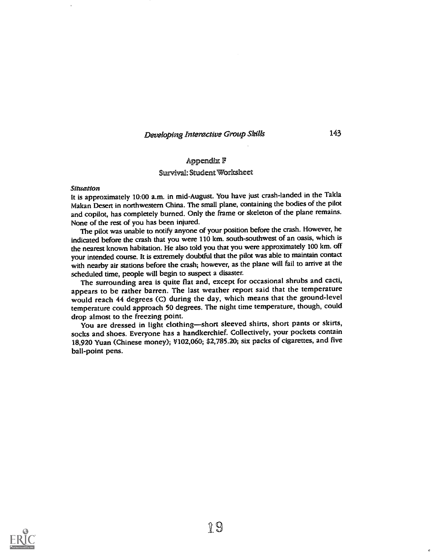Developing Interactive Group Skills 143

#### Appendix F

#### Survival: Student 'Worksheet

#### Situation

It is approximately 10:00 a.m. in mid-August. You have just crash-landed in the Takla Makan Desert in northwestern China. The small plane, containing the bodies of the pilot and copilot, has completely burned. Only the frame or skeleton of the plane remains. None of the rest of you has been injured.

The pilot was unable to notify anyone of your position before the crash. However, he indicated before the crash that you were 110 km. south-southwest of an oasis, which is the nearest known habitation. He also told you that you were approximately 100 km. off your intended course. It is extremely doubtful that the pilot was able to maintain contact with nearby air stations before the crash; however, as the plane will fail to arrive at the scheduled time, people will begin to suspect a disaster.

The surrounding area is quite flat and, except for occasional shrubs and cacti, appears to be rather barren. The last weather report said that the temperature would reach 44 degrees (C) during the day, which means that the ground-level temperature could approach 50 degrees. The night time temperature, though, could drop almost to the freezing point.

You are dressed in light clothing-short sleeved shirts, short pants or skirts, socks and shoes. Everyone has a handkerchief. Collectively, your pockets contain 18,920 Yuan (Chinese money); V102,060; \$2,785.20; six packs of cigarettes, and five ball-point pens.

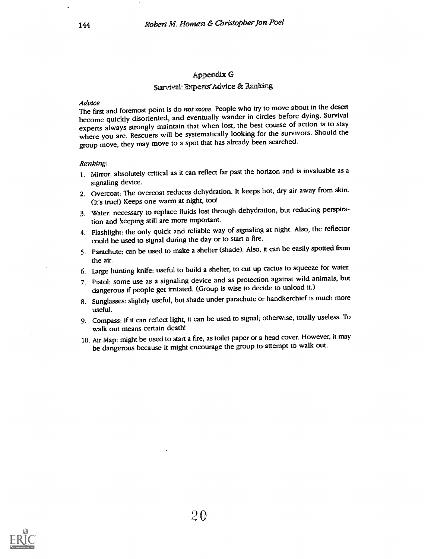### Appendix G

## Survivall: Experts'Advice & Ranking

Advice<br>The first and foremost point is do *not move*. People who try to move about in the desert become quickly disoriented, and eventually wander in circles before dying. Survival experts always strongly maintain that when lost, the best course of action is to stay where you are. Rescuers will be systematically looking for the survivors. Should the group move, they may move to a spot that has already been searched.

#### Ranking:

- 1. Mirror: absolutely critical as it can reflect far past the horizon and is invaluable as a signaling device.
- 2. Overcoat: The overcoat reduces dehydration. It keeps hot, dry air away from skin. (It's true!) Keeps one warm at night, too!
- 3. Water: necessary to replace fluids lost through dehydration, but reducing perspiration and keeping still are more important.
- 4. Flashlight: the only quick and reliable way of signaling at night. Also, the reflector could be used to signal during the day or to start a fire.
- 5. Parachute: can be used to make a shelter (shade). Also, it can be easily spotted from the air.
- 6. Large hunting knife: useful to build a shelter, to cut up cactus to squeeze for water.
- 7. Pistol: some use as a signaling device and as protection against wild animals, but dangerous if people get irritated. (Group is wise to decide to unload it.)
- 8. Sunglasses: slightly useful, but shade under parachute or handkerchief is much more useful.
- 9. Compass: if it can reflect light, it can be used to signal; otherwise, totally useless. To walk out means certain death!
- 10. Air Map: might be used to start a fire, as toilet paper or a head cover. However, it may be dangerous because it might encourage the group to attempt to walk out.